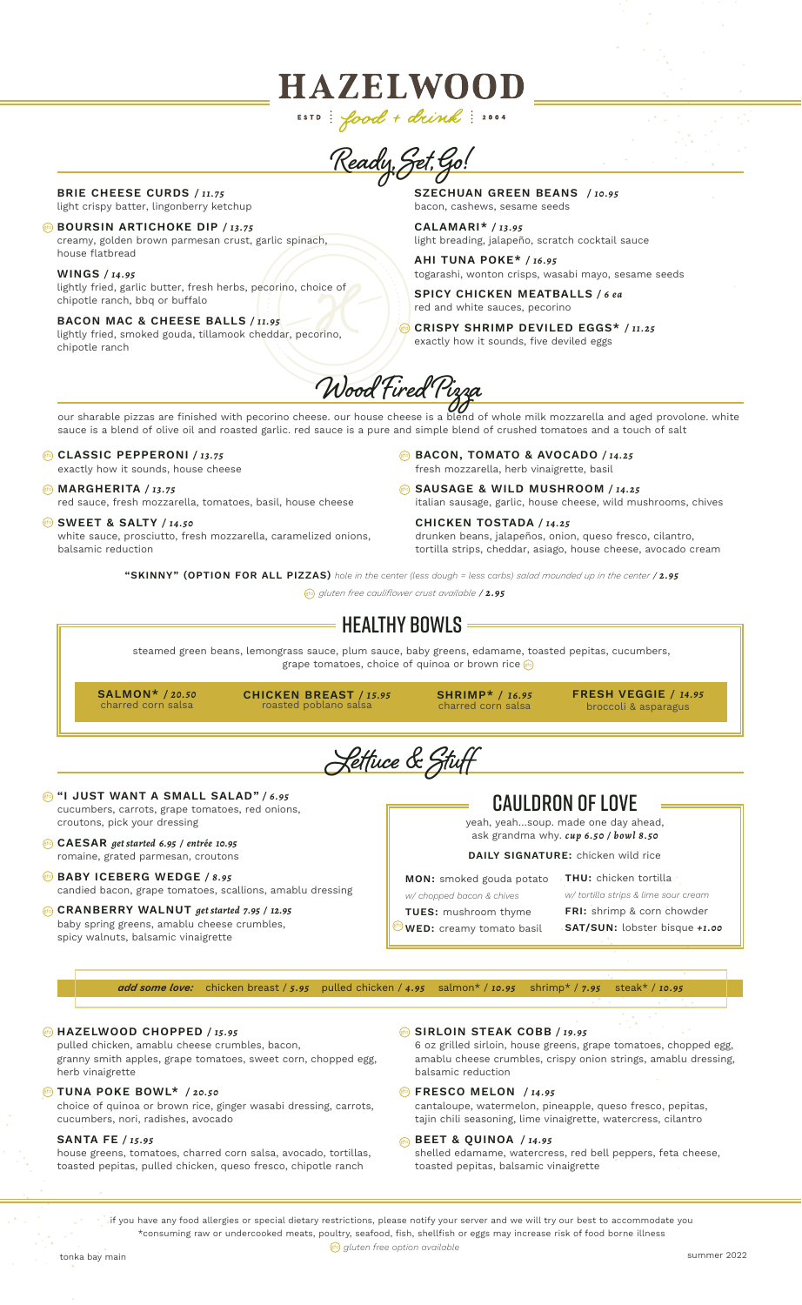ESTD: food + drink: 2004 **Ready, Set, Go!**

**HAZELWOOD** 

BRIE CHEESE CURDS */ 11.75* light crispy batter, lingonberry ketchup

**@** BOURSIN ARTICHOKE DIP / 13.75 creamy, golden brown parmesan crust, garlic spinach, house flatbread

WINGS */ 14.95* lightly fried, garlic butter, fresh herbs, pecorino, choice of chipotle ranch, bbq or buffalo

BACON MAC & CHEESE BALLS */ 11.95* lightly fried, smoked gouda, tillamook cheddar, pecorino, chipotle ranch

SZECHUAN GREEN BEANS */ 10.95* bacon, cashews, sesame seeds

CALAMARI\* */ 13.95* light breading, jalapeño, scratch cocktail sauce

AHI TUNA POKE\* */ 16.95* togarashi, wonton crisps, wasabi mayo, sesame seeds

SPICY CHICKEN MEATBALLS */ 6 ea* red and white sauces, pecorino

CRISPY SHRIMP DEVILED EGGS\* */ 11.25* gfoexactly how it sounds, five deviled eggs

**Wood Fired Pizza**

our sharable pizzas are finished with pecorino cheese. our house cheese is a blend of whole milk mozzarella and aged provolone. white sauce is a blend of olive oil and roasted garlic. red sauce is a pure and simple blend of crushed tomatoes and a touch of salt

## **GLASSIC PEPPERONI / 13.75**

exactly how it sounds, house cheese

MARGHERITA */ 13.75* gfo red sauce, fresh mozzarella, tomatoes, basil, house cheese

## **SWEET & SALTY / 14.50** white sauce, prosciutto, fresh mozzarella, caramelized onions,

balsamic reduction

BACON, TOMATO & AVOCADO */ 14.25* gfo fresh mozzarella, herb vinaigrette, basil

SAUSAGE & WILD MUSHROOM */ 14.25* gfo italian sausage, garlic, house cheese, wild mushrooms, chives

CHICKEN TOSTADA */ 14.25* drunken beans, jalapeños, onion, queso fresco, cilantro, tortilla strips, cheddar, asiago, house cheese, avocado cream

"SKINNY" (OPTION FOR ALL PIZZAS) *hole in the center (less dough = less carbs) salad mounded up in the center* / *2.95*

*gluten free cauliflower crust available* / *2.95* gfo

# $\,$  = Healthy Bowls =

steamed green beans, lemongrass sauce, plum sauce, baby greens, edamame, toasted pepitas, cucumbers, grape tomatoes, choice of quinoa or brown rice  $\left|\mathbb{F}\right|$ 

SALMON\* */ 20.50* charred corn salsa

CHICKEN BREAST */ 15.95* roasted poblano salsa

SHRIMP\* */ 16.95* charred corn salsa

FRESH VEGGIE */ 14.95* broccoli & asparagus

**Lettuce & Stuff**

- **@ "I JUST WANT A SMALL SALAD" / 6.95** cucumbers, carrots, grape tomatoes, red onions, croutons, pick your dressing
- CAESAR *get started 6.95 / entrée 10.95* gfo romaine, grated parmesan, croutons
- **BABY ICEBERG WEDGE / 8.95** candied bacon, grape tomatoes, scallions, amablu dressing

CRANBERRY WALNUT *get started 7.95 / 12.95* gfo baby spring greens, amablu cheese crumbles, spicy walnuts, balsamic vinaigrette

## CAULDRON OF LOVE

yeah, yeah…soup. made one day ahead, ask grandma why. *cup 6.50 / bowl 8.50*

DAILY SIGNATURE: chicken wild rice

MON: smoked gouda potato

*w/ chopped bacon & chives*

THU: chicken tortilla *w/ tortilla strips & lime sour cream*

FRI: shrimp & corn chowder SAT/SUN: lobster bisque *+1.00*

TUES: mushroom thyme  $\frac{g(t)}{g(t)}$  WED: creamy tomato basil

*add some love:* chicken breast / *5.95* pulled chicken / *4.95* salmon\* / *10.95* shrimp\* / *7.95* steak\* / *10.95*

## HAZELWOOD CHOPPED */ 15.95* gfo

pulled chicken, amablu cheese crumbles, bacon, granny smith apples, grape tomatoes, sweet corn, chopped egg, herb vinaigrette

#### TUNA POKE BOWL\* */ 20.50* gfo

choice of quinoa or brown rice, ginger wasabi dressing, carrots, cucumbers, nori, radishes, avocado

#### SANTA FE */ 15.95*

house greens, tomatoes, charred corn salsa, avocado, tortillas, toasted pepitas, pulled chicken, queso fresco, chipotle ranch

#### SIRLOIN STEAK COBB */ 19.95* gfo

6 oz grilled sirloin, house greens, grape tomatoes, chopped egg, amablu cheese crumbles, crispy onion strings, amablu dressing, balsamic reduction

- **Example 3 FRESCO MELON** / 14.95 cantaloupe, watermelon, pineapple, queso fresco, pepitas, tajin chili seasoning, lime vinaigrette, watercress, cilantro
- BEET & QUINOA */ 14.95* gfo shelled edamame, watercress, red bell peppers, feta cheese, toasted pepitas, balsamic vinaigrette

if you have any food allergies or special dietary restrictions, please notify your server and we will try our best to accommodate you \*consuming raw or undercooked meats, poultry, seafood, fish, shellfish or eggs may increase risk of food borne illness